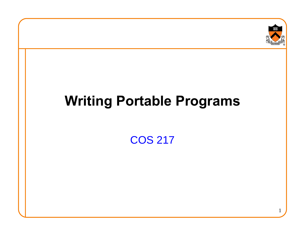

## **Writing Portable Programs**

COS 217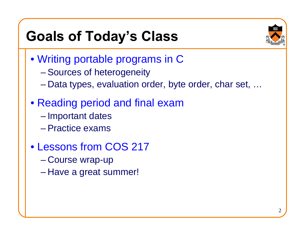## **Goals of Today's Class**



- Writing portable programs in C
	- Sources of heterogeneity
	- Data types, evaluation order, byte order, char set, …
- Reading period and final exam
	- Important dates
	- –Practice exams
- Lessons from COS 217
	- Course wrap-up
	- Have a great summer!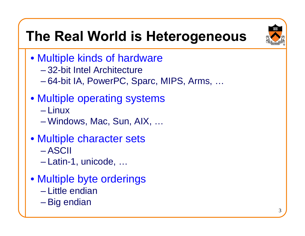## **The Real World is Heterogeneous**



- Multiple kinds of hardware
	- –32-bit Intel Architecture
	- 64-bit IA, PowerPC, Sparc, MIPS, Arms, …

#### • Multiple operating systems

- Linux
- Windows, Mac, Sun, AIX, …
- Multiple character sets – ASCII
	- Latin-1, unicode, …
- Multiple byte orderings
	- –Little endian
	- Big endian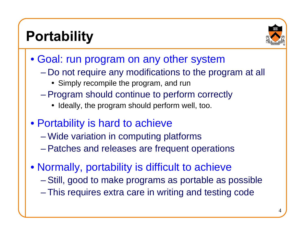## **Portability**



- Goal: run program on any other system
	- $\mathcal{L}_{\mathcal{A}}$  Do not require any modifications to the program at all
		- Simply recompile the program, and run
	- Program should continue to perform correctly
		- Ideally, the program should perform well, too.
- Portability is hard to achieve
	- Wide variation in computing platforms
	- Patches and releases are frequent operations
- Normally, portability is difficult to achieve
	- –Still, good to make programs as portable as possible
	- This requires extra care in writing and testing code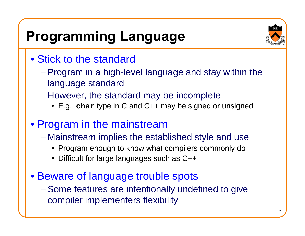## **Programming Language**

- Stick to the standard
	- Program in a high-level language and stay within the language standard
	- However, the standard may be incomplete
		- y E.g., **char** type in C and C++ may be signed or unsigned
- Program in the mainstream
	- Mainstream implies the established style and use
		- Program enough to know what compilers commonly do
		- Difficult for large languages such as C++
- Beware of language trouble spots
	- Some features are intentionally undefined to give compiler implementers flexibility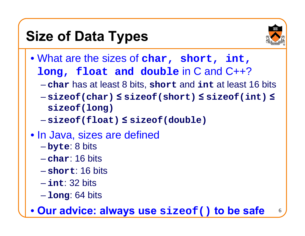## **Size of Data Types**



- What are the sizes of **char, short, int, long, float and double** in C and C++?
	- **char** has at least 8 bits, **short** and **int** at least 16 bits
	- – **sizeof(char) ≤ sizeof(short) ≤ sizeof(int) ≤ sizeof(long)**
	- **sizeof(float) ≤ sizeof(double)**
- In Java, sizes are defined
	- $\mathcal{L}_{\mathcal{A}}$  , and the set of  $\mathcal{L}_{\mathcal{A}}$  , and the set of  $\mathcal{L}_{\mathcal{A}}$ **byte**: 8 bits
	- **char**: 16 bits
	- **short**: 16 bits
	- **int**: 32 bits
	- $\mathcal{L}_{\mathcal{A}}$ **long**: 64 bits

• **Our advice: always use sizeof() to be safe**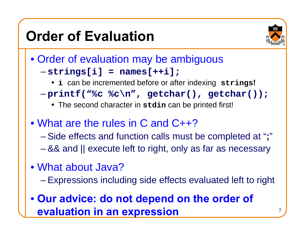## **Order of Evaluation**



- Order of evaluation may be ambiguous **strings[i] = names[++i];**
	- y **<sup>i</sup>**can be incremented before or after indexing **strings!**
	- **printf("%c %c\n", getchar(), getchar());**
		- y The second character in **stdin** can be printed first!
- What are the rules in C and C++?
	- Side effects and function calls must be completed at "**;**"
	- && and || execute left to right, only as far as necessary
- •What about Java?
	- Expressions including side effects evaluated left to right
- **Our advice: do not depend on the order of evaluation in an expression**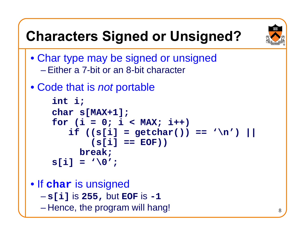# **Characters Signed or Unsigned?**



- Char type may be signed or unsigned –Either a 7-bit or an 8-bit character
- Code that is *not* portable

```
int i;
char s[MAX+1];
for (i = 0; i < MAX; i++) 
   if ((s[i] = getchar()) == '\n') || 
       (s[i] == EOF))
     break;
s[i] = ' \0';
```
• I f **char** is unsigned **s[i]** is **255,** but **EOF** is **-1** – Hence, the program will hang!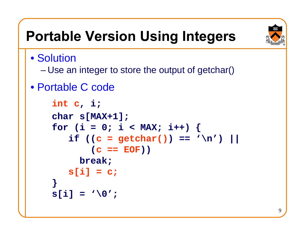

## **Portable Version Using Integers**

• Solution

- Use an integer to store the output of getchar()
- •Portable C code

```
int
c, i;
char s[MAX+1];
for (i = 0; i < \text{MAX}; i++) {
   if ((c = getchar()) == 'n') ||(c == EOF))
     break;
   s[i] = c;
}
s[i] = ' \0';
```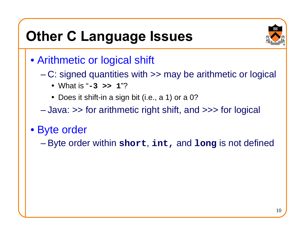## **Other C Language Issues**



- Arithmetic or logical shift
	- C: signed quantities with >> may be arithmetic or logical
		- y What is "**-3 >> 1**"?
		- $\bullet\,$  Does it shift-in a sign bit (i.e., a 1) or a 0?

– Java: >> for arithmetic right shift, and >>> for logical

- Byte order
	- Byte order within **short**, **int,** and **long** is not defined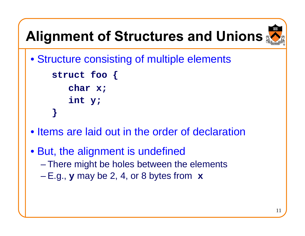# **Alignment of Structures and Unions**



- Structure consisting of multiple elements **struct foo { char x; int y ; }**
- Items are laid out in the order of declaration
- But, the alignment is undefined – There might be holes between the elements – E.g., **<sup>y</sup>** may be 2, 4, or 8 bytes from **x**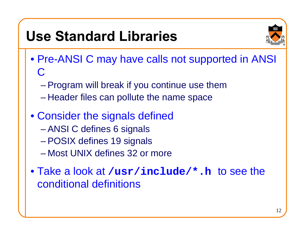## **Use Standard Libraries**



- Pre-ANSI C may have calls not supported in ANSI C
	- Program will break if you continue use them
	- Header files can pollute the name space
- Consider the signals defined – ANSI C defines 6 signals – POSIX defines 19 signals –Most UNIX defines 32 or more

• Take a look at **/usr/include/\*.h** to see the conditional definitions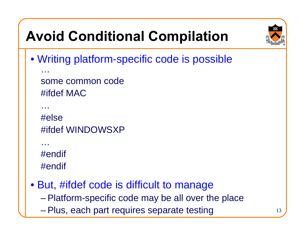## **Avoid Conditional Compilation**



• Writing platform-specific code is possible

some common code#ifdef MAC

#else#ifdef WINDOWSXP

…#endif #endif

…

…

• But, #ifdef code is difficult to manage – Platform-specific code may be all over the place – Plus, each part requires separate testing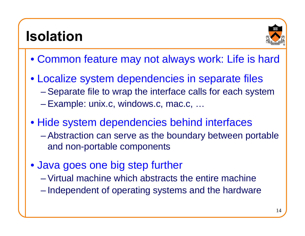### **Isolation**



- Common feature may not always work: Life is hard
- Localize system dependencies in separate files Separate file to wrap the interface calls for each system Example: unix.c, windows.c, mac.c, …
- Hide system dependencies behind interfaces  $\mathcal{L}_{\mathcal{A}}$  Abstraction can serve as the boundary between portable and non-portable components
- Java goes one big step further
	- Virtual machine which abstracts the entire machine
	- Independent of operating systems and the hardware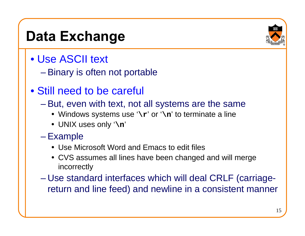#### **Data Exchange**

- •Use ASCII text
	- Binary is often not portable
- Still need to be careful
	- But, even with text, not all systems are the same
		- Windows systems use '\r' or '\n' to terminate a line
		- UNIX uses only '**\n**'
	- E x a m ple
		- Use Microsoft Word and Emacs to edit files
		- CVS assumes all lines have been changed and will merge incorrectly
	- Use standard interfaces which will deal CRLF (carriagereturn and line feed) and newline in a consistent manner

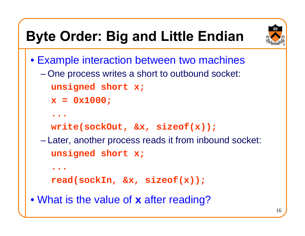## **Byte Order: Big and Little Endian**



• Example interaction between two machines – One process writes a short to outbound socket: **unsigned short x; x = 0x1000; ...write(sockOut, &x, sizeof(x));** – Later, another process reads it from inbound socket: **unsigned short x; ...read(sockIn, &x, sizeof(x));** • What is the value of **x** after reading?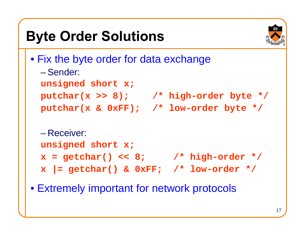# **Byte Order Solutions**



• Fix the byte order for data exchange –Sender: **unsigned short x;** 

```
putchar(x >> 8); /* high-order byte */
```
**putchar(x & 0xFF); /\* low-order byte \*/**

```
– Receiver:unsigned short x;
x = getchar() << 8; /* high-order */
x |= getchar() & 0xFF; /* low-order */
```
• Extremely important for network protocols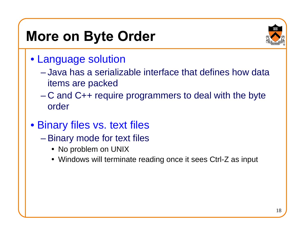### **More on Byte Order**

- Language solution
	- –Java has a serializable interface that defines how data items are packed
	- C and C++ require programmers to deal with the byte order
- Binary files vs. text files
	- Binary mode for text files
		- No problem on UNIX
		- Windows will terminate reading once it sees Ctrl-Z as input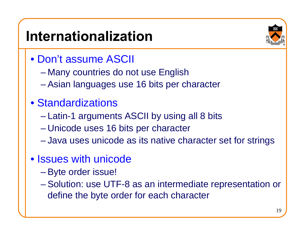## **Internationalization**

- •Don't assume ASCII
	- Many countries do not use English
	- Asian languages use 16 bits per character

#### •Standardizations

- Latin-1 arguments ASCII by using all 8 bits
- Unicode uses 16 bits per character
- Java uses unicode as its native character set for strings

#### • Issues with unicode

- Byte order issue!
- Solution: use UTF-8 as an intermediate representation or define the byte order for each character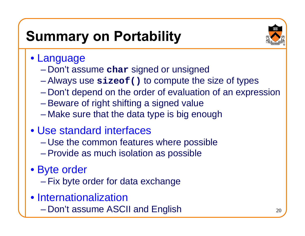## **Summary on Portability**



- Language
	- Don't assume **char** signed or unsigned
	- Always use **sizeof()** to compute the size of types
	- Don't depend on the order of evaluation of an expression
	- Beware of right shifting a signed value
	- Make sure that the data type is big enough

#### •Use standard interfaces

- Use the common features where possible
- Provide as much isolation as possible
- Byte order
	- Fix byte order for data exchange
- Internationalization
	- Don't assume ASCII and English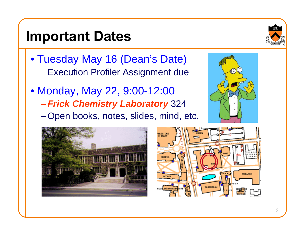#### **Important Dates**

- Tuesday May 16 (Dean's Date) – Execution Profiler Assignment due
- Monday, May 22, 9:00-12:00 *Frick Chemistry Laboratory* 324 – Open books, notes, slides, mind, etc.







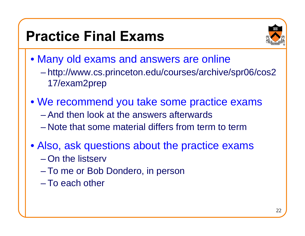### **Practice Final Exams**



- Many old exams and answers are online – http://www.cs.princeton.edu/courses/archive/spr06/cos2 17/exam2prep
- We recommend you take some practice exams –And then look at the answers afterwards–Note that some material differs from term to term
- Also, ask questions about the practice exams –On the listserv
	- To me or Bob Dondero, in person
	- –To each other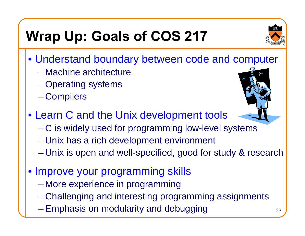# **Wrap Up: Goals of COS 217**

- 
- Understand boundary between code and computer
	- –Machine architecture
	- Operating systems
	- Compilers
- Learn C and the Unix development tools
	- C is widely used for programming low-level systems
	- Unix has a rich development environment
	- Unix is open and well-specified, good for study & research
- Improve your programming skills
	- More experience in programming
	- Challenging and interesting programming assignments
	- Emphasis on modularity and debugging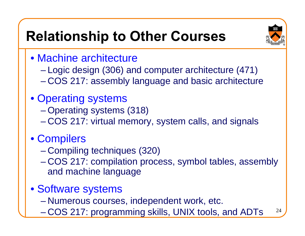## **Relationship to Other Courses**



- •Machine architecture
	- Logic design (306) and computer architecture (471)
	- COS 217: assembly language and basic architecture
- Operating systems
	- Operating systems (318)
	- COS 217: virtual memory, system calls, and signals
- Compilers
	- Compiling techniques (320)
	- COS 217: compilation process, symbol tables, assembly and machine language
- Software systems
	- Numerous courses, independent work, etc.
	- 24 – COS 217: programming skills, UNIX tools, and ADTs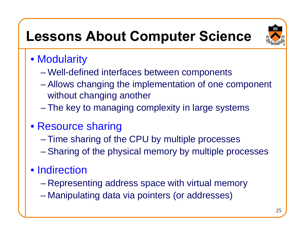## **Lessons About Computer Science**



- Modularity
	- Well-defined interfaces between components
	- Allows changing the implementation of one component without changing another
	- The key to managing complexity in large systems
- Resource sharing
	- Time sharing of the CPU by multiple processes
	- Sharing of the physical memory by multiple processes

#### • Indirection

- Representing address space with virtual memory
- Manipulating data via pointers (or addresses)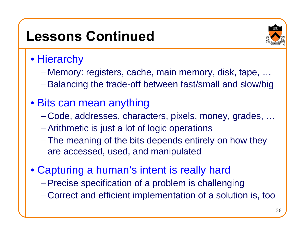#### **Lessons Continued**



#### $\bullet$  Hierarchy

- Memory: registers, cache, main memory, disk, tape, …
- Balancing the trade-off between fast/small and slow/big

#### • Bits can mean anything

- Code, addresses, characters, pixels, money, grades, …
- Arithmetic is just a lot of logic operations
- The meaning of the bits depends entirely on how they are accessed, used, and manipulated
- Capturing a human's intent is really hard
	- Precise specification of a problem is challenging – Correct and efficient implementation of a solution is, too